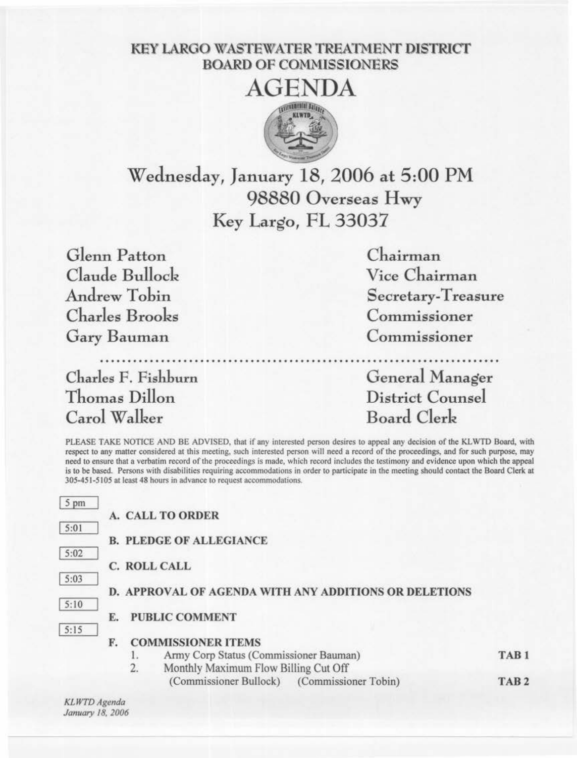## KEY LARGO WASTEWATER TREATMENT DISTRICT BOARD OF COMMISSIONERS



Wednesday, January 18, 2006 at 5:00 PM 98880 Overseas Hwy Key Largo, FL 33037

Glenn Patton Chairman Claude Bullock Andrew Tobin Charles Brooks Gary Bauman

Charles F. Fishburn Thomas Dillon Carol Walker

Vice Chairman Secretary-Treasure Commissioner Commissioner

........................................................................ General Manager District Counsel Board Clerk

PLEASE TAKE NOTICE AND BE ADVISED, that if any interested person desires to appeal any decision of the KLWTD Board, with respect to any matter considered at this meeting, such interested person will need a record of the proceedings, and for such purpose, may need to ensure that a verbatim record of the proceedings is made, which record includes the testimony and evidence upon which the appeal is to be based. Persons with disabilities requiring accommodations in order to participate in the meeting should contact the Board Clerk at 305-451-5105 at least 48 hours in advance to request accommodations.

| 5 pm |                                                       |                  |
|------|-------------------------------------------------------|------------------|
|      | <b>A. CALL TO ORDER</b>                               |                  |
| 5:01 |                                                       |                  |
|      | <b>B. PLEDGE OF ALLEGIANCE</b>                        |                  |
| 5:02 |                                                       |                  |
|      | C. ROLL CALL                                          |                  |
| 5:03 |                                                       |                  |
|      | D. APPROVAL OF AGENDA WITH ANY ADDITIONS OR DELETIONS |                  |
| 5:10 | <b>PUBLIC COMMENT</b>                                 |                  |
| 5:15 | E.                                                    |                  |
|      | <b>COMMISSIONER ITEMS</b><br>F.                       |                  |
|      | Army Corp Status (Commissioner Bauman)                | TAB <sub>1</sub> |
|      | Monthly Maximum Flow Billing Cut Off<br>2.            |                  |
|      | (Commissioner Bullock) (Commissioner Tobin)           | TAB <sub>2</sub> |

*KLWTD Agenda January 18, 2006*